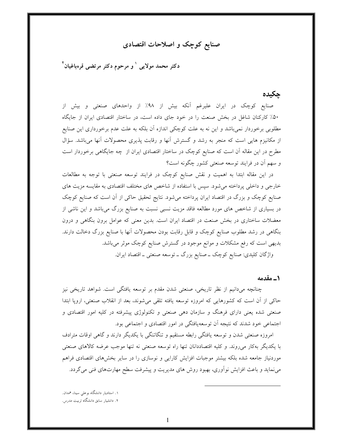# صنایع کوچک و اصلاحات اقتصادی

دکتر محمد مولایی <sup>۱</sup> و مرحوم دکتر مرتض<sub>ع</sub>ی قرەباغیان<sup>۲</sup>

## چکیدہ

صنایع کوچک در ایران علیرغم آنکه بیش از ۹۸٪ از واحدهای صنعتی و بیش از ۵۰٪ کارکنان شاغل در بخش صنعت را در خود جای داده است، در ساختار اقتصادی ایران از جایگاه مطلوبی برخوردار نمیباشد و این نه به علت کوچکی اندازه آن بلکه به علت عدم برخورداری این صنایع از مکانیزم هایی است که منجر به رشد و گسترش آنها و رقابت پذیری محصولات آنها میباشد. سؤال مطرح در این مقاله آن است که صنایع کوچک در ساختار اقتصادی ایران از چه جایگاهی برخوردار است و سهم أن در فرايند توسعه صنعتي كشور چگونه است؟

در این مقاله ابتدا به اهمیت و نقش صنایع کوچک در فرایند توسعه صنعتی با توجه به مطالعات خارجی و داخلی پرداخته می شود. سپس با استفاده از شاخص های مختلف اقتصادی به مقایسه مزیت های صنایع کوچک و بزرگ در اقتصاد ایران پرداخته می شود. نتایج تحقیق حاکی از آن است که صنایع کوچک در بسیاری از شاخص های مورد مطالعه فاقد مزیت نسبی نسبت به صنایع بزرگ میباشد و این ناشی از معضلات ساختاری در بخش صنعت در اقتصاد ایران است. بدین معنی که عوامل برون بنگاهی و درون بنگاهی در رشد مطلوب صنایع کوچک و قابل رقابت بودن محصولات آنها با صنایع بزرگ دخالت دارند. بدیهی است که رفع مشکلات و موانع موجود در گسترش صنایع کوچک موثر میباشد.

واژگان کلیدی: صنایع کوچک ــ صنایع بزرگ ــ توسعه صنعتی ــ اقتصاد ایران.

1\_ مقدمه

چنانچه میدانیم از نظر تاریخی، صنعتی شدن مقدم بر توسعه یافتگی است. شواهد تاریخی نیز حاکی از آن است که کشورهایی که امروزه توسعه یافته تلقی میشوند، بعد از انقلاب صنعتی، اروپا ابتدا صنعتی شده یعنی دارای فرهنگ و سازمان دهی صنعتی و تکنولوژی پیشرفته در کلیه امور اقتصادی و اجتماعی خود شدند که نتیجه آن توسعهیافتگی در امور اقتصادی و اجتماعی بود.

امروزه صنعتی شدن و توسعه یافتگی رابطه مستقیم و تنگاتنگی با یکدیگر دارند و گاهی اوقات مترادف با يكديگر بهكار مىروند. و كليه اقتصاددانان تنها راه توسعه صنعتى نه تنها موجب عرضه كالاهاى صنعتى موردنیاز جامعه شده بلکه بیشتر موجبات افزایش کارایی و نوسازی را در سایر بخشهای اقتصادی فراهم می نماید و باعث افزایش نوآوری، بهبود روش های مدیریت و پیشرفت سطح مهارتهای فنی می گردد.

۱. استادیار دانشگاه بوعلی سینا، همدان. ۲. دانشیار سابق دانشگاه تربیت مدرس.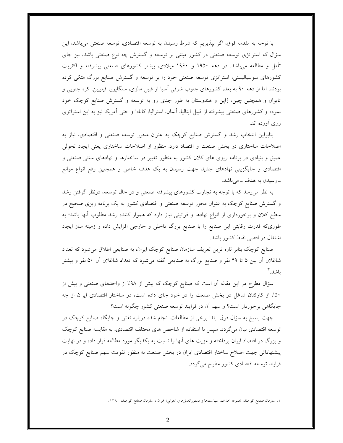با توجه به مقدمه فوق، اگر بپذیریم که شرط رسیدن به توسعه اقتصادی، توسعه صنعتی میباشد، این سؤال که استراتژی توسعه صنعتی در کشور مبتنی بر توسعه و گسترش چه نوع صنعتی باشد، نیز جای تأمل و مطالعه میباشد. در دهه ۱۹۵۰ و ۱۹۶۰ میلادی، بیشتر کشورهای صنعتی پیشرفته و اکثریت کشورهای سوسیالیستی، استراتژی توسعه صنعتی خود را بر توسعه و گسترش صنایع بزرگ متکی کرده بودند. اما از دهه ۹۰ به بعد، کشورهای جنوب شرقبی اسیا از قبیل مالزی، سنگاپور، فیلیپین، کره جنوبی و تایوان و همچنین چین، ژاپن و هندوستان به طور جدی رو به توسعه و گسترش صنایع کوچک خود نموده و کشورهای صنعتی پیشرفته از قبیل ایتالیا، آلمان، استرالیا، کانادا و حتی آمریکا نیز به این استراتژی روی آورده اند.

بنابراین انتخاب رشد و گسترش صنایع کوچک به عنوان محور توسعه صنعتی و اقتصادی، نیاز به اصلاحات ساختاری در بخش صنعت و اقتصاد دارد. منظور از اصلاحات ساختاری یعنی ایجاد تحولی عمیق و بنیادی در برنامه ریزی های کلان کشور به منظور تغییر در ساختارها و نهادهای سنتی صنعتی و اقتصادی و جایگزینی نهادهای جدید جهت رسیدن به یک هدف خاص و همچنین رفع انواع موانع ــ رسیدن به هدف ــ میباشد.

به نظر میرسد که با توجه به تجارب کشورهای پیشرفته صنعتی و در حال توسعه، درنظر گرفتن رشد و گسترش صنایع کوچک به عنوان محور توسعه صنعتی و اقتصادی کشور به یک برنامه ریزی صحیح در سطح کلان و برخورداری از انواع نهادها و قوانینی نیاز دارد که هموار کننده رشد مطلوب آنها باشد؛ به طوریکه قدرت رقابتی این صنایع را با صنایع بزرگ داخلی و خارجی افزایش داده و زمینه ساز ایجاد اشتغال در اقصی نقاط کشور باشد.

صنایع کوچک بنابر تازه ترین تعریف سازمان صنایع کوچک ایران، به صنایعی اطلاق میشود که تعداد شاغلان آن بین ۵ تا ۴۹ نفر و صنایع بزرگ به صنایعی گفته میشود که تعداد شاغلان آن ۵۰ نفر و بیشتر ىاشد. ۳

سؤال مطرح در این مقاله اّن است که صنایع کوچک که بیش از ۹۸٪ از واحدهای صنعتی و بیش از ۵۰٪ از کارکنان شاغل در بخش صنعت را در خود جای داده است، در ساختار اقتصادی ایران از چه جايگاهي برخوردار است؟ و سهم أن در فرايند توسعه صنعتي كشور چگونه است؟

جهت پاسخ به سؤال فوق ابتدا برخی از مطالعات انجام شده درباره نقش و جایگاه صنایع کوچک در توسعه اقتصادی بیان میگردد. سپس با استفاده از شاخص های مختلف اقتصادی، به مقایسه صنایع کوچک و بزرگ در اقتصاد ایران پرداخته و مزیت های آنها را نسبت به یکدیگر مورد مطالعه قرار داده و در نهایت پیشنهاداتی جهت اصلاح ساختار اقتصادی ایران در بخش صنعت به منظور تقویت سهم صنایع کوچک در فرایند توسعه اقتصادی کشور مطرح میگردد.

۱. سازمان صنایع کوچك: مجموعه اهداف، سیاستها و دستورالعملهاي اجرايي؛ تمران : سازمان صنایع کوچك، ۱۳۸۰.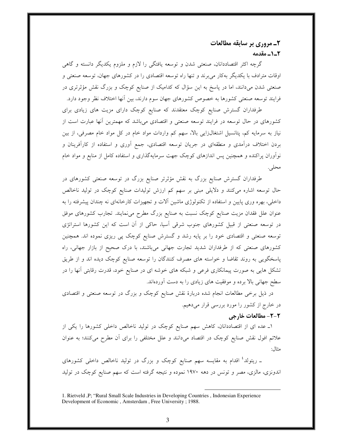۲ـ مروري بر سابقه مطالعات 2-1- مقدمه

گرچه اکثر اقتصاددانان، صنعتی شدن و توسعه یافتگی را لازم و ملزوم یکدیگر دانسته و گاهی اوقات مترادف با یکدیگر بهکار می,برند و تنها راه توسعه اقتصادی را در کشورهای جهان، توسعه صنعتی و صنعتی شدن میدانند، اما در پاسخ به این سؤال که کدامیک از صنایع کوچک و بزرگ نقش مؤثرتری در فرایند توسعه صنعتی کشورها به خصوص کشورهای جهان سوم دارند، بین آنها اختلاف نظر وجود دارد.

طرفداران گسترش صنایع کوچک معتقدند که صنایع کوچک دارای مزیت های زیادی برای کشورهای در حال توسعه در فرایند توسعه صنعتی و اقتصادی میباشد که مهمترین آنها عبارت است از نیاز به سرمایه کم، پتانسیل اشتغالزایی بالا، سهم کم واردات مواد خام در کل مواد خام مصرفی، از بین بردن اختلاف درآمدی و منطقهای در جریان توسعه اقتصادی، جمع آوری و استفاده از کارآفرینان و نوآوران پراکنده و همچنین پس اندازهای کوچک جهت سرمایهگذاری و استفاده کامل از منابع و مواد خام محلي.

طرفداران گسترش صنایع بزرگ به نقش مؤثرتر صنایع بزرگ در توسعه صنعتی کشورهای در حال توسعه اشاره میکنند و دلایلی مبنی بر سهم کم ارزش تولیدات صنایع کوچک در تولید ناخالص داخلی، بهره وری پایین و استفاده از تکنولوژی ماشین آلات و تجهیزات کارخانهای نه چندان پیشرفته را به عنوان علل فقدان مزیت صنایع کوچک نسبت به صنایع بزرگ مطرح می نمایند. تجارب کشورهای موفق در توسعه صنعتی از قبیل کشورهای جنوب شرقی آسیا، حاکی از آن است که این کشورها استراتژی توسعه صنعتی و اقتصادی خود را بر پایه رشد و گسترش صنایع کوچک پی ریزی نموده اند. همچنین کشورهای صنعتی که از طرفداران شدید تجارت جهانی میباشند، با درک صحیح از بازار جهانی، راه پاسخگویی به روند تقاضا و خواسته های مصرف کنندگان را توسعه صنایع کوچک دیده اند و از طریق تشکل هایی به صورت پیمانکاری فرعی و شبکه های خوشه ای در صنایع خود، قدرت رقابتی آنها را در سطح جهانی بالا برده و موفقیت های زیادی را به دست آوردهاند.

در ذیل برخی مطالعات انجام شده دربارهٔ نقش صنایع کوچک و بزرگ در توسعه صنعتی و اقتصادی در خارج از کشور را مورد بررسی قرار میدهیم.

## 2-2- مطالعات خارجي

۱ــ عده ای از اقتصاددانان، کاهش سهم صنایع کوچک در تولید ناخالص داخلی کشورها را یکی از علائم افول نقش صنایع کوچک در اقتصاد میدانند و علل مختلفی را برای آن مطرح میکنند؛ به عنوان مثال:

ـ ریتولد<sup>؛</sup> اقدام به مقایسه سهم صنایع کوچک و بزرگ در تولید ناخالص داخل<sub>ی</sub> کشورهای اندونزی، مالزی، مصر و تونس در دهه ۱۹۷۰ نموده و نتیجه گرفته است که سهم صنایع کوچک در تولید

<sup>1.</sup> Rietveld ,P; "Rural Small Scale Industries in Developing Countries, Indonesian Experience Development of Economic, Amsterdam, Free University; 1988.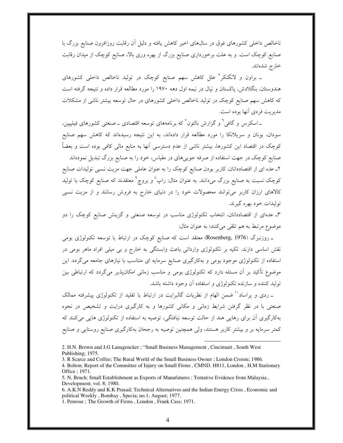ناخالص داخلی کشورهای فوق در سالهای اخیر کاهش یافته و دلیل آن رقابت روزافزون صنایع بزرگ با صنایع کوچک است. و به علت برخورداری صنایع بزرگ از بهره وری بالا، صنایع کوچک از میدان رقابت خارج شدهاند.

۔ براون و لانگنکر <sup>ہ</sup> علل کاهش سهم صنایع کوچک در تولید ناخالص داخلی کشورهای هندوستان، بنگلادش، پاکستان و نپال در نیمه اول دهه ۱۹۷۰ را مورد مطالعه قرار داده و نتیجه گرفته است که کاهش سهم صنایع کوچک در تولید ناخالص داخلی کشورهای در حال توسعه بیشتر ناشی از مشکلات مديريت فردي آنها بوده است.

۔اسکرس و گافی<sup>7</sup> و گزارش بالتون<sup>7</sup> که برنامههای توسعه اقتصادی ــ صنعتی کشورهای فیلیپین، سودان، یونان و سریلانکا را مورد مطالعه قرار دادهاند، به این نتیجه رسیدهاند که کاهش سهم صنایع کوچک در اقتصاد این کشورها، بیشتر ناشی از عدم دسترسی آنها به منابع مالی کافی بوده است و بعضاً صنایع کوچک در جهت استفاده از صرفه جویییهای در مقیاس، خود را به صنایع بزرگ تبدیل نمودهاند ۲ـ عده ای از اقتصاددانان، کاربر بودن صنایع کوچک را به عنوان عاملی جهت مزیت نسبی تولیدات صنایع کوچک نسبت به صنایع بزرگ میدانند. به عنوان مثال: راپ<sup>^</sup> و بروچ<sup>۹</sup> معتقدند که صنایع کوچک با تولید کالاهای ارزان کاربر می توانند محصولات خود را در دنیای خارج به فروش رسانند و از مزیت نسبی توليدات خود بهره گيرند.

۳ـ عدمای از اقتصاددانان، انتخاب تکنولوژی مناسب در توسعه صنعتی و گزینش صنایع کوچک را دو موضوع مرتبط به هم تلقى مى كنند؛ به عنوان مثال:

ـ روزنبرگ (Rosenberg, 1976) معتقد است که صنایع کوچک در ارتباط با توسعه تکنولوژی بومی نقش اساسی دارند. تکیه بر تکنولوژی وارداتی باعث وابستگی به خارج و بی میلی افراد ماهر بومی در استفاده از تکنولوژی موجود بومی و بهکارگیری صنایع سرمایه ای متناسب با نیازهای جامعه میگردد. این موضوع تأکید بر آن مسئله دارد که تکنولوژی بومی و مناسب زمانی امکان پذیر میگردد که ارتباطی بین تولید کننده و سازنده تکنولوژی و استفاده آن وجود داشته باشد.

ـ ردی و پراساد `` ضمن الهام از نظریات گالبرایت در ارتباط با تقلید از تکنولوژی پیشرفته ممالک صنعتی با در نظر گرفتن شرایط زمانی و مکانی کشورها و به کارگیری درایت و تشخیص در نحوه بهکارگیری آن برای رهایی هند از حالت توسعه نیافتگی، توصیه به استفاده از تکنولوژی هایی میکنند که کمتر سرمایه بر و بیشتر کاربر هستند، ولی همچنین توصیه به رجحان بهکارگیری صنایع روستایی و صنایع

2. H.N. Brown and J.G Lanagencker ; "Small Business Management, Cincinnati, South West Publishing; 1975.

3. R Scarce and Coffee; The Rural World of the Small Business Owner; London Croom; 1986.

4. Bolton; Report of the Committee of Injury on Small Firms, CMND. H811, London, H.M Stationary Office ; 1971.

5. N, Bruch; Small Establishment as Exports of Manufatures : Tentative Evidence from Malaysia, Development; vol. 8; 1980.

6. A.K.N Reddy and K.K Prasad; Technical Alternatives and the Indian Energy Crisis, Economic and political Weekly, Bombay, Specia; no.1; August; 1977.

1. Penrose ; The Growth of Firms, London, Frank Cass; 1971.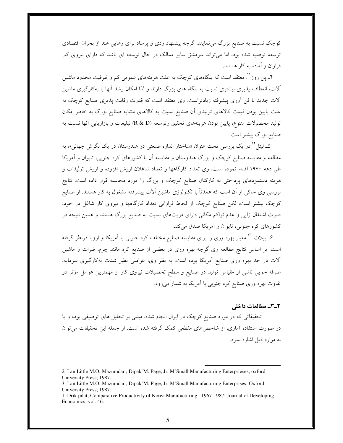کوچک نسبت به صنایع بزرگ می نمایند. گرچه پیشنهاد ردی و پرساد برای رهایی هند از بحران اقتصادی توسعه توصیه شده بود، اما می تواند سرمشق سایر ممالک در حال توسعه ای باشد که دارای نیروی کار فراوان و آماده به کار هستند.

۴\_ پن روز'': معتقد است که بنگاههای کوچک به علت هزینههای عمومی کم و ظرفیت محدود ماشین آلات، انعطاف پذیری بیشتری نسبت به بنگاه های بزرگ دارند و لذا امکان رشد آنها با بهکارگیری ماشین اَلات جدید با فن اَوری پیشرفته زیادتراست. وی معتقد است که قدرت رقابت پذیری صنایع کوچک به علت پایین بودن قیمت کالاهای تولیدی آن صنایع نسبت به کالاهای مشابه صنایع بزرگ به خاطر امکان توليد محصولات متنوع، پايين بودن هزينههاي تحقيق وتوسعه (R & D) تبليغات و بازاريابي آنها نسبت به صنایع بزرگ بیشتر است.

۵ـ لیتل<sup>۱٬</sup> در یک بررسی تحت عنوان «ساختار اندازه صنعتی در هندوستان در یک نگرش جهانی»، به مطالعه و مقایسه صنایع کوچک و بزرگ هندوستان و مقایسه آن با کشورهای کره جنوبی، تایوان و آمریکا طی دهه ۱۹۷۰ اقدام نموده است. وی تعداد کارگاهها و تعداد شاغلان ارزش افزوده و ارزش تولیدات و هزینه دستمزدهای پرداختی به کارکنان صنایع کوچک و بزرگ را مورد محاسبه قرار داده است. نتایج بررسی وی حاکی از آن است که عمدتاً با تکنولوژی ماشین آلات پیشرفته مشغول به کار هستند. از صنایع کوچک بیشتر است، لکن صنایع کوچک از لحاظ فراوانی تعداد کارگاهها و نیروی کار شاغل در خود، قدرت اشتغال زایی و عدم تراکم مکانی دارای مزیتهای نسبت به صنایع بزرگ هستند و همین نتیجه در کشورهای کره جنوبی، تایوان و آمریکا صدق میکند.

۶ـ پیلات <sup>۱۳</sup> معیار بهره وری را برای مقایسه صنایع مختلف کره جنوب<sub>ی</sub> با آمریکا و اروپا درنظر گرفته است. بر اساس نتایج مطالعه وی گرچه بهره وری در بعضی از صنایع کره مانند چرم، فلزات و ماشین آلات در حد بهره وری صنایع آمریکا بوده است. به نظر وی، عواملی نظیر شدت بهکارگیری سرمایه، صرفه جویی ناشی از مقیاس تولید در صنایع و سطح تحصیلات نیروی کار از مهمترین عوامل مؤثر در تفاوت بهره وری صنایع کره جنوبی با آمریکا به شمار میرود.

#### ٢\_٣\_ مطالعات داخلي

تحقیقاتی که در مورد صنایع کوچک در ایران انجام شده، مبتنی بر تحلیل های توصیفی بوده و یا در صورت استفاده آماری، از شاخصهای مقطعی کمک گرفته شده است. از جمله این تحقیقات می توان به موارد ذیل اشاره نمود:

<sup>2.</sup> Lan Little M.O; Mazumdar, Dipak'M. Page, Jr, M'Small Manufacturing Enterprieses; oxford University Press; 1987.

<sup>3.</sup> Lan Little M.O; Mazumdar, Dipak'M. Page, Jr, M'Small Manufacturing Enterprises; Oxford University Press; 1987.

<sup>1.</sup> Drik pilat; Comparative Productivity of Korea Manufacturing : 1967-1987; Journal of Developing Economics; vol. 46.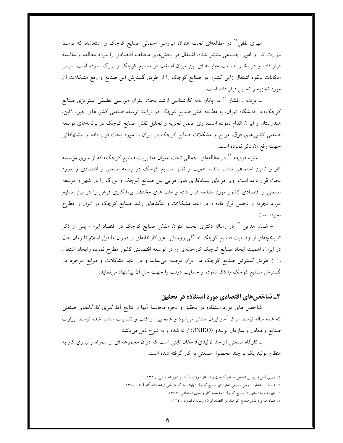مهری ثقفی<sup>۱</sup>۰ در مطالعهای تحت عنوان «بررسی اجمالی صنایع کوچک و اشتغال»، که توسط وزارت کار و امور اجتماعی منتشر شده، اشتغال در بخشهای مختلف اقتصادی را مورد مطالعه و مقایسه قرار داده و در بخش صنعت مقایسه ای بین میزان اشتغال در صنایع کوچک و بزرگ نموده است. سپس امکانات بالقوه اشتغال زایی کشور در صنایع کوچک را از طریق گسترش این صنایع و رفع مشکلات آن مورد تجزیه و تحلیل قرار داده است.

ـ عزتا... افشار <sup>١٥</sup> در پایان نامه کارشناسی ارشد تحت عنوان «بررسی تطبیقی استراتژی صنایع کوچک» در دانشگاه تهران، به مطالعه نقش صنایع کوچک در فرایند توسعه صنعتی کشورهای چین، ژاپن، هندوستان و ایران اقدام نموده است. وی ضمن تجزیه و تحلیل نقش صنایع کوچک در برنامههای توسعه صنعتی کشورهای فوق، موانع و مشکلات صنایع کوچک در ایران را مورد بحث قرار داده و پیشنهاداتی جهت رفع أن ذكر نموده است.

ـ منیره قرهچه <sup>۱۰</sup> در مطالعهای اجمالی تحت عنوان «مدیریت صنایع کوچک» که از سوی مؤسسه کار و تأمین اجتماعی منتشر شده، اهمیت و نقش صنایع کوچک در وسعه صنعتی و اقتصادی را مورد بحث قرار داده است. وی مزایای پیمانکاری های فرعی بین صنایع کوچک و بزرگ را در شهر و توسعه صنعتی و اقتصادی کشور مورد مطالعه قرار داده و مدل های مختلف پیمانکاری فرعی را در بین صنایع مورد تجزیه و تحلیل قرار داده و در انتها مشکلات و تنگناهای رشد صنایع کوچک در ایران را مطرح نموده است.

– ضیاء هدای<sub>م</sub> <sup>۱۷</sup> در رساله دکتری تحت عنوان «نقش صنایع کوچک در اقتصاد ایران» پس از ذکر تاریخچهای از وضعیت صنایع کوچک خانگی روستایی غیر کارخانهای از دوران ما قبل اسلام تا زمان حال در ایران، اهمیت ایجاد صنایع کوچک کارخانهای را در توسعه اقتصادی کشور مطرح نموده وایجاد اشتغال را از طریق گسترش صنایع کوچک در ایران توصیه می نماید و در انتها مشکلات و موانع موجود در گسترش صنایع کوچک را ذکر نموده و حمایت دولت را جهت حل آن پیشنهاد می نماید.

### ۳ـ شاخصهای اقتصادی مورد استفاده در تحقیق

شاخص های مورد استفاده در تحقیق و نحوه محاسبهٔ آنها از نتایج آمارگیری کارگاههای صنعتی که همه ساله توسط مرکز آمار ایران منتشر میشود و همچنین از کتب و نشریات منتشر شده توسط وزارت صنایع و معادن و سازمان یونیدو (UNIDO) ارائه شده و به شرح ذیل میباشد:

ـ کارگاه صنعتی (واحد تولیدی): مکان ثابتی است که درآن مجموعه ای از سمراه و نیروی کار به منظور تولید یک یا چند محصول صنعتی به کار گرفته شده است.

- ٤. منيره قرهچه؛ مديريت صنايع كوچك؛ مؤسسه كار و تأمين احتماعي، ١٣٧٧.
- ۱. ضیاء هدایی؛ نقش صنایع کوچك در اقتصاد ایران؛ رساله دکتري، ۱۳٤۱.

۲. مهري ثقفي؛ بررسي اجماعي صنايع كوچك و اشتغال؛ وزارت كار و امور احتماعي، ١٣٦٤.

۳. عزتا… افشار؛ بررسي تطبيقي استراتژي صنايع كوچك؛ پايانiامه كارشناسی ارشد دانشگاه قمران، ۱۳۷۰.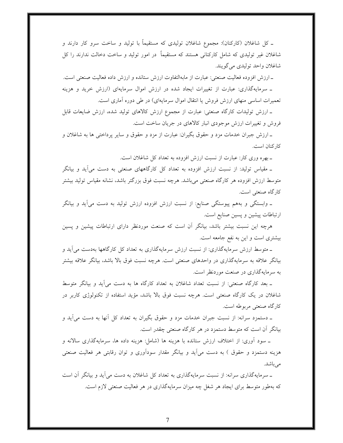ــ کل شاغلان (کارکنان): مجموع شاغلان تولیدی که مستقیماً با تولید و ساخت سرو کار دارند و شاغلان غیر تولیدی که شامل کارکنانی هستند که مستقیماً در امور تولید و ساخت دخالت ندارند را کل شاغلان واحد توليدي مي گويند.

\_ارزش افزوده فعاليت صنعتي: عبارت از مابهالتفاوت ارزش ستانده و ارزش داده فعاليت صنعتي است.

ــ سرمایهگذاری: عبارت از تغییرات ایجاد شده در ارزش اموال سرمایهای (ارزش خرید و هزینه تعمیرات اساسی منهای ارزش فروش یا انتقال اموال سرمایهای) در طی دوره آماری است.

ـ ارزش تولیدات کارگاه صنعتی: عبارت از مجموع ارزش کالاهای تولید شده، ارزش ضایعات قابل فروش و تغییرات ارزش موجودی انبار کالاهای در جریان ساخت است.

ــ ارزش جبران خدمات مزد و حقوق بگیران: عبارت از مزد و حقوق و سایر پرداختبی ها به شاغلان و كار كنان است.

ـ بهره وري كار: عبارت از نسبت ارزش افزوده به تعداد كل شاغلان است.

ــ مقیاس تولید: از نسبت ارزش افزوده به تعداد کل کارگاههای صنعتی به دست می آید و بیانگر متوسط ارزش افزوده هر کارگاه صنعتبی میباشد. هرچه نسبت فوق بزرگتر باشد، نشانه مقیاس تولید بیشتر كارگاه صنعتى است.

ـ وابستگی و بههم پیوستگی صنایع: از نسبت ارزش افزوده ارزش تولید به دست می]ید و بیانگر ارتباطات پیشین و پسین صنایع است.

هرچه این نسبت بیشتر باشد، بیانگر آن است که صنعت موردنظر دارای ارتباطات پیشین و پسین بیشتری است و این به نفع جامعه است.

ـ متوسط ارزش سرمایهگذاری: از نسبت ارزش سرمایهگذاری به تعداد کل کارگاهها بهدست می آید و بیانگر علاقه به سرمایهگذاری در واحدهای صنعتی است. هرچه نسبت فوق بالا باشد، بیانگر علاقه بیشتر به سرمایهگذاری در صنعت موردنظر است.

ـ بعد کارگاه صنعتی: از نسبت تعداد شاغلان به تعداد کارگاه ها به دست می آید و بیانگر متوسط شاغلان در یک کارگاه صنعتی است. هرچه نسبت فوق بالا باشد، مؤید استفاده از تکنولوژی کاربر در كارگاه صنعتى مربوطه است.

ـ دستمزد سرانه: از نسبت جبران خدمات مزد و حقوق بگیران به تعداد کل أنها به دست می[ید و بیانگر آن است که متوسط دستمزد در هر کارگاه صنعتی چقدر است.

ــ سود اَوری: از اختلاف ارزش ستانده با هزینه ها (شامل: هزینه داده ها، سرمایهگذاری سالانه و هزینه دستمزد و حقوق ) به دست می[ید و بیانگر مقدار سودآوری و توان رقابتی هر فعالیت صنعتی مى باشد.

ـ سرمایهگذاری سرانه: از نسبت سرمایهگذاری به تعداد کل شاغلان به دست می آید و بیانگر آن است که بهطور متوسط برای ایجاد هر شغل چه میزان سرمایهگذاری در هر فعالیت صنعتی لازم است.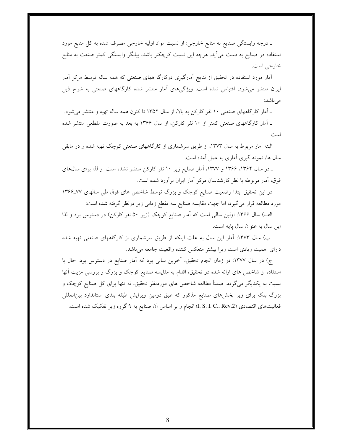ـ درجه وابستگی صنایع به منابع خارجی: از نسبت مواد اولیه خارجی مصرف شده به کل منابع مورد استفاده در صنایع به دست می]ید. هرچه این نسبت کوچکتر باشد، بیانگر وابستگی کمتر صنعت به منابع خارجي است.

آمار مورد استفاده در تحقیق از نتایج آمارگیری درکارگا ههای صنعتی که همه ساله توسط مرکز آمار ایران منتشر میشود، اقتباس شده است. ویژگیهای آمار منتشر شده کارگاههای صنعتی به شرح ذیل مے باشد:

ـ آمار كارگاههاى صنعتى ١٠ نفر كاركن به بالا، از سال ١٣۵٢ تا كنون همه ساله تهيه و منتشر مى شود.

ـ آمار کارگاههای صنعتی کمتر از ۱۰ نفر کارکن، از سال ۱۳۶۶ به بعد به صورت مقطعی منتشر شده است.

البته آمار مربوط به سال ۱۳۷۳، از طریق سرشماری از کارگاههای صنعتی کوچک تهیه شده و در مابقی سال ها، نمونه گیری آماری به عمل آمده است.

ـ در سال ۱۳۶۴، ۱۳۶۶ و ۱۳۷۷، آمار صنایع زیر ۱۰ نفر کارکن منتشر نشده است. و لذا برای سال۱های فوق، آمار مربوطه با نظر كارشناسان مركز آمار ايران برآورد شده است.

در این تحقیق ابتدا وضعیت صنایع کوچک و بزرگ توسط شاخص های فوق طی سالهای ۷۷-۱۳۶۶ مورد مطالعه قرار می گیرد، اما جهت مقایسه صنایع سه مقطع زمانی زیر درنظر گرفته شده است:

الف) سال ۱۳۶۶: اولین سالی است که آمار صنایع کوچک (زیر ۵۰ نفر کارکن) در دسترس بود و لذا اين سال به عنوان سال يايه است.

ب) سال ۱۳۷۳: آمار این سال به علت اینکه از طریق سرشماری از کارگاههای صنعتی تهیه شده دارای اهمیت زیادی است زیرا بیشتر منعکس کننده واقعیت جامعه میباشد.

ج) در سال ۱۳۷۷: در زمان انجام تحقیق، آخرین سالی بود که آمار صنایع در دسترس بود. حال با استفاده از شاخص های ارائه شده در تحقیق، اقدام به مقایسه صنایع کوچک و بزرگ و بررسی مزیت آنها نسبت به یکدیگر میگردد. ضمناً مطالعه شاخص های موردنظر تحقیق، نه تنها برای کل صنایع کوچک و بزرگ بلکه برای زیر بخشهای صنایع مذکور که طبق دومین ویرایش طبقه بندی استاندارد بین المللی فعالیتهای اقتصادی (I. S. I. C., Rev.2) انجام و بر اساس آن صنایع به ۹ گروه زیر تفکیک شده است.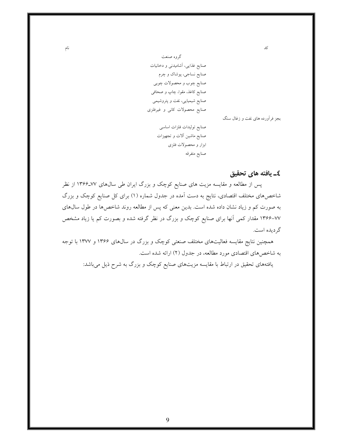گروه صنعت صنایع غذایی، آشامیدنی و دخانیات صنایع نساجی، پوشاک و چرم صنايع چوب و محصولات چوبې صنایع کاغذ، مقوا، چاپ و صحافی صنایع شیمیایی، نفت و پتروشیمی صنایع محصولات کانی و غیرفلزی صنايع توليدات فلزات اساسى صنایع ماشین آلات و تجهیزات ابزار و محصولات فلزی

صنايع متفرقه

نام

بجز فرأورده هاى نفت و زغال سنگ

کد

## ٤ـ يافته هاي تحقيق

پس از مطالعه و مقایسه مزیت های صنایع کوچک و بزرگ ایران طی سال های ۷۷-۱۳۶۶ از نظر شاخصهای مختلف اقتصادی، نتایج به دست آمده در جدول شماره (۱) برای کل صنایع کوچک و بزرگ به صورت کم و زیاد نشان داده شده است. بدین معنی که پس از مطالعه روند شاخصها در طول سال@ای ۷۷–۱۳۶۶ مقدار کمی آنها برای صنایع کوچک و بزرگ در نظر گرفته شده و بصورت کم یا زیاد مشخص گر ديده است.

همچنین نتایج مقایسه فعالیتهای مختلف صنعتی کوچک و بزرگ در سالهای ۱۳۶۶ و ۱۳۷۷ با توجه به شاخصهای اقتصادی مورد مطالعه، در جدول (۲) ارائه شده است.

یافتههای تحقیق در ارتباط با مقایسه مزیتهای صنایع کوچک و بزرگ به شرح ذیل میباشد:

 $\mathbf{Q}$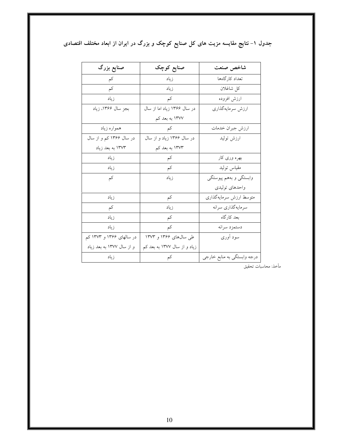| صنایع بزرگ                | صنایع کوچک                   | شاخص صنعت                   |
|---------------------------|------------------------------|-----------------------------|
| کم                        | زياد                         | تعداد كارگاهها              |
| کم                        | زياد                         | كل شاغلان                   |
| زياد                      | کم                           | ارزش افزوده                 |
| بجز سال ۱۳۶۶، زیاد        | در سال ۱۳۶۶ زیاد اما از سال  | ارزش سرمايهگذاري            |
|                           | ۱۳۷۷ به بعد کم               |                             |
| همواره زياد               | $\sum$                       | ارزش جبران خدمات            |
| در سال ۱۳۶۶ کم و از سال   | در سال ۱۳۶۶ زیاد و از سال    | ارزش توليد                  |
| ۱۳۷۳ به بعد زیاد          | ۱۳۷۳ به بعد کم               |                             |
| زياد                      | کم                           | بهره وری کار                |
| زياد                      | کم                           | مقياس توليد                 |
| کم                        | زياد                         | وابستگی و بههم پیوستگی      |
|                           |                              | واحدهاي توليدي              |
| زياد                      | کم                           | متوسط ارزش سرمايهگذارى      |
| کم                        | ز ياد                        | سرمايهگذاري سرانه           |
| زياد                      | کم                           | بعد كارگاه                  |
| زياد                      | کم                           | دستمزد سرانه                |
| در سالهای ۱۳۶۶ و ۱۳۷۳ کم  | طی سال۱۳۶۶ و ۱۳۷۳            | سود أوري                    |
| و از سال ۱۳۷۷ به بعد زیاد | زیاد و از سال ۱۳۷۷ به بعد کم |                             |
| زياد                      | کم                           | درجه وابستگی به منابع خارجی |

جدول ۱– نتایج مقایسه مزیت های کل صنایع کوچک و بزرگ در ایران از ابعاد مختلف اقتصادی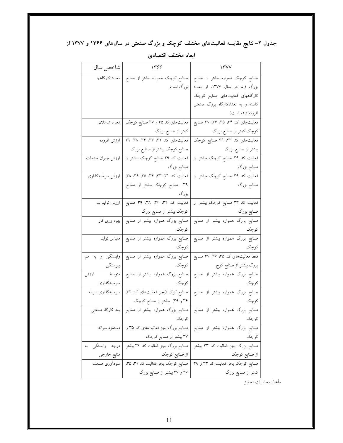جدول ۲– نتایج مقایسه فعالیتهای مختلف کوچک و بزرگ صنعتی در سالهای ۱۳۶۶ و ۱۳۷۷ از

| شاخص سال          | 1398                                              | $\Upsilon$                                                                                |
|-------------------|---------------------------------------------------|-------------------------------------------------------------------------------------------|
|                   | صنایع کوچک همواره بیشتر از صنایع   تعداد کارگاهها | صنایع کوچک همواره بیشتر از صنایع                                                          |
|                   | بزرگ است.                                         | بزرگ (اما در سال ۱۳۷۷، از تعداد                                                           |
|                   |                                                   | کارگاههای فعالیتهای صنایع کوچک                                                            |
|                   |                                                   | کاسته و به تعدادکارگاه بزرگ صنعتی                                                         |
|                   |                                                   | افزوده شده است)                                                                           |
|                   | فعالیتهای کد ۳۵ و ۳۷ صنایع کوچک   تعداد شاغلان    | فعالیتهای کد ۳۴، ۳۵، ۳۶، ۳۷ صنایع                                                         |
|                   | کمتر از صنایع بزرگ                                | کوچک کمتر از صنایع بزرگ                                                                   |
| ارزش افزوده       | فعالیتهای کد ۳۲، ۳۳، ۳۴، ۳۸، ۳۹                   | فعالیتهای کد ۳۳، ۳۹ صنایع کوچک                                                            |
|                   | صنایع کوچک بیشتر از صنایع بزرگ                    | بیشتر از صنایع بزرگ                                                                       |
| ارزش جبران خدمات  | فعالیت کد ۳۹ صنایع کوچک بیشتر از                  | فعالیت کد ۳۹ صنایع کوچک بیشتر از                                                          |
|                   | صنايع بزرگ                                        | صنايع بزرگ                                                                                |
| ارزش سرمايه گذاري | فعالیت کد ۳۱، ۳۳، ۳۴، ۳۵، ۳۶، ۳۸،                 | فعالیت کد ۳۹ صنایع کوچک بیشتر از                                                          |
|                   | ۳۹ صنایع کوچک بیشتر از صنایع                      | صنایع بزرگ                                                                                |
|                   | بزرگ                                              |                                                                                           |
|                   |                                                   | فعالیت کد ۳۳ صنایع کوچک بیشتر از   فعالیت کد ۳۴، ۳۶، ۳۸، ۳۹ صنایع   ارزش تولیدات          |
|                   | کوچک بیشتر از صنایع بزرگ                          | صنایع بزرگ                                                                                |
|                   |                                                   | صنایع بزرگ همواره بیشتر از صنایع   صنایع بزرگ همواره بیشتر از صنایع   بهره وری کار        |
|                   | کوچک                                              | کوچک                                                                                      |
|                   |                                                   | صنایع بزرگ همواره بیشتر از صنایع   صنایع بزرگ همواره بیشتر از صنایع   مقیاس تولید         |
|                   | كوچك                                              | كوچك                                                                                      |
|                   |                                                   | فقط فعالیتهای کد ۳۵، ۳۶ ۳۷ صنایع   صنایع بزرگ همواره بیشتر از صنایع   وابستگی  و  به  هم  |
| پیوستگی           | کوچک                                              | بزرگ بیشتر از صنایع کوچ                                                                   |
| ارزش              |                                                   | صنایع بزرگ همواره بیشتر از صنایع   صنایع بزرگ همواره بیشتر از صنایع   متوسط               |
| سرمايه گذاري      | كوچك                                              | کوچک                                                                                      |
|                   |                                                   | صنایع بزرگ همواره بیشتر از صنایع   صنایع کوک (بجز فعالیتهای کد ۳۲،   سرمایهگذاری سرانه    |
|                   | ۳۶ و ۳۹) بیشتر از صنایع کوچک                      | كوچك                                                                                      |
|                   |                                                   | صنایع بزرگ همواره بیشتر از صنایع   صنایع بزرگ همواره بیشتر از صنایع   بعد کارگاه صنعتی    |
|                   | كوچك                                              | كوچك                                                                                      |
| دستمزد سرانه      | صنایع بزرگ بجز فعالیتهای کد ۳۵ و                  | صنایع بزرگ همواره بیشتر از صنایع                                                          |
|                   | ۳۷ بیشتر از صنایع کوچک                            | كوچك                                                                                      |
|                   |                                                   | صنایع بزرگ بجز فعالیت کد ۳۳ بیشتر   صنایع بزرگ بجز فعالیت کد ۳۴ بیشتر   درجه 「وابستگی 」به |
| منابع خارجى       | از صنایع کوچک                                     | از صنایع کوچک                                                                             |
|                   |                                                   | صنایع کوچک بجز فعالیت کد ۳۳ و ۳۹   صنایع کوچک بجز فعالیت کد ۳۱، ۳۵،   سودآوری صنعت        |
|                   | ۳۶ و ۳۷ بیشتر از صنایع بزرگ                       | کمتر از صنایع بزرگ                                                                        |

ابعاد مختلف اقتصادى

مأخذ: محاسبات تحقيق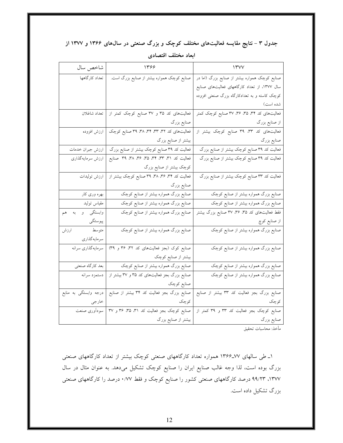جدول ۳ – نتایج مقایسه فعالیتهای مختلف کوچک و بزرگ صنعتی در سال0های ۱۳۶۶ و ۱۳۷۷ از

| شاخص سال              | 1399                                                     | $\Upsilon$                                    |
|-----------------------|----------------------------------------------------------|-----------------------------------------------|
| تعداد كاركاهها        | صنایع کوچک همواره بیشتر از صنایع بزرگ است.               | صنایع کوچک همواره بیشتر از صنایع بزرگ (اما در |
|                       |                                                          | سال ۱۳۷۷، از تعداد کارگاههای فعالیتهای صنایع  |
|                       |                                                          | کوچک کاسته و به تعدادکارگاه بزرگ صنعتی افزوده |
|                       |                                                          | شده است)                                      |
|                       | فعالیتهای کد ۳۵ و ۳۷ صنایع کوچک کمتر از   تعداد شاغلان   | فعالیتهای کد ۳۴، ۳۵، ۳۶، ۳۷ صنایع کوچک کمتر   |
|                       | صنايع بزرگ                                               | از صنایع بزرگ                                 |
|                       | فعالیتهای کد ۳۲، ۳۳، ۳۴، ۳۸، ۳۹ صنایع کوچک   ارزش افزوده | فعالیتهای کد ۳۳، ۳۹ صنایع کوچک بیشتر از       |
|                       | بیشتر از صنایع بزرگ                                      | صنايع بزرگ                                    |
| ارزش جبران خدمات      | فعالیت کد ۳۹ صنایع کوچک بیشتر از صنایع بزرگ              | فعالیت کد ۳۹ صنایع کوچک بیشتر از صنایع بزرگ   |
| ارزش سرمايه گذاري     | فعالیت کد ۳۱، ۳۳، ۳۵، ۳۶، ۳۸، ۳۹، ۳۹ صنایع               | فعالیت کد ۳۹ صنایع کوچک بیشتر از صنایع بزرگ   |
|                       | کوچک بیشتر از صنایع بزرگ                                 |                                               |
| ارزش توليدات          | فعالیت کد ۳۴، ۳۶، ۳۸، ۳۹ صنایع کوچک بیشتر از             | فعالیت کد ۳۳ صنایع کوچک بیشتر از صنایع بزرگ   |
|                       | صنايع بزرگ                                               |                                               |
| بهره وری کار          | صنایع بزرگ همواره بیشتر از صنایع کوچک                    | صنایع بزرگ همواره بیشتر از صنایع کوچک         |
| مقياس توليد           | صنایع بزرگ همواره بیشتر از صنایع کوچک                    | صنایع بزرگ همواره بیشتر از صنایع کوچک         |
| وابستگی و<br>هم<br>به | صنایع بزرگ همواره بیشتر از صنایع کوچک                    | فقط فعالیتهای کد ۳۵ ۳۶ ۳۷ صنایع بزرگ بیشتر    |
| پيوستگي               |                                                          | از صنایع کوچ                                  |
| متوسط<br>ارزش         | صنایع بزرگ همواره بیشتر از صنایع کوچک                    | صنایع بزرگ همواره بیشتر از صنایع کوچک         |
| سرمايه گذاري          |                                                          |                                               |
| سرمايه گذاري سرانه    | صنایع کوک (بجز فعالیتهای کد ۳۲، ۳۶ و ۳۹)                 | صنایع بزرگ همواره بیشتر از صنایع کوچک         |
|                       | بیشتر از صنایع کوچک                                      |                                               |
| بعد كارگاه صنعتى      | صنایع بزرگ همواره بیشتر از صنایع کوچک                    | صنایع بزرگ همواره بیشتر از صنایع کوچک         |
| دستمزد سرانه          | صنایع بزرگ بجز فعالیتهای کد ۳۵ و ۳۷ بیشتر از             | صنایع بزرگ همواره بیشتر از صنایع کوچک         |
|                       | صنايع كوچك                                               |                                               |
| درجه وابستگی به منابع | صنایع بزرگ بجز فعالیت کد ۳۴ بیشتر از صنایع               | صنایع بزرگ بجز فعالیت کد ۳۳ بیشتر از صنایع    |
| خارجي                 | كوچك                                                     | كوچك                                          |
|                       | صنایع کوچک بجز فعالیت کد ۳۱، ۳۵، ۳۶ و ۳۷   سودآوری صنعت  | صنایع کوچک بجز فعالیت کد ۳۳ و ۳۹ کمتر از      |
|                       | بیشتر از صنایع بزرگ                                      | صنايع بزرگ                                    |

ابعاد مختلف اقتصادي

۱ـ طی سالهای ۷۷ـ۱۳۶۶ همواره تعداد کارگاههای صنعتی کوچک بیشتر از تعداد کارگاههای صنعتی بزرگ بوده است، لذا وجه غالب صنایع ایران را صنایع کوچک تشکیل میدهد. به عنوان مثال در سال ۱۳۷۷، ۹۹/۲۳ درصد کارگاههای صنعتی کشور را صنایع کوچک و فقط ۰/۷۷ درصد را کارگاههای صنعتی بزرگ تشکیل داده است.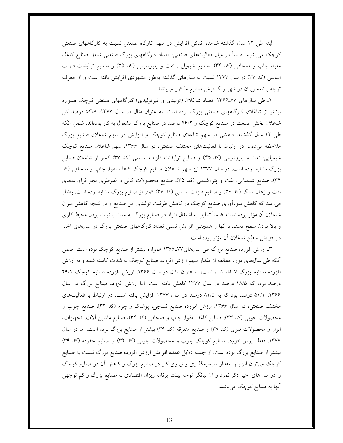البته طی ١٢ سال گذشته شاهده اندکی افزایش در سهم کارگاه صنعتی نسبت به کارگاههای صنعتی کوجک میباشیم. ضمناً در میان فعالیتهای صنعتی، تعداد کارگاههای بزرگ صنعتی شامل صنایع کاغذ، مقوا، چاپ و صحافی (کد ۳۴)، صنایع شیمیایی، نفت و پتروشیمی (کد ۳۵) و صنایع تولیدات فلزات اساسی (کد ۳۷) در سال ۱۳۷۷ نسبت به سالهای گذشته بهطور مشهودی افزایش یافته است و آن معرف توجه برنامه ریزان در شهر و گسترش صنایع مذکور میباشد.

۲ـ طی سالهای ۷۷ـ۱۳۶۶، تعداد شاغلان (تولیدی و غیرتولیدی) کارگاههای صنعتی کوچک همواره بیشتر از شاغلان کارگاههای صنعتی بزرگ بوده است. به عنوان مثال در سال ۱۳۷۷، ۵۳/۸ درصد کل شاغلان بخش صنعت در صنایع کوچک و ۴۶/۲ درصد در صنایع بزرگ مشغول به کار بودهاند. ضمن آنکه طی ۱۲ سال گذشته، کاهشی در سهم شاغلان صنایع کوچک و افزایش در سهم شاغلان صنایع بزرگ ملاحظه میشود. در ارتباط با فعالیتهای مختلف صنعتی، در سال ۱۳۶۶، سهم شاغلان صنایع کوچک شیمیایی، نفت و پتروشیمی (کد ۳۵) و صنایع تولیدات فلزات اساسی (کد ۳۷) کمتر از شاغلان صنایع بزرگ مشابه بوده است. در سال ۱۳۷۷ نیز سهم شاغلان صنایع کوچک کاغذ، مقوا، چاپ و صحافی (کد ۳۴)، صنایع شیمیایی، نفت و پتروشیمی (کد ۳۵)، صنایع محصولات کانی و غیرفلزی بجز فراوردههای نفت و زغال سنگ (کد ۳۶) و صنایع فلزات اساسی (کد ۳۷) کمتر از صنایع بزرگ مشابه بوده است. بهنظر میرسد که کاهش سودآوری صنایع کوچک در کاهش ظرفیت تولیدی این صنایع و در نتیجه کاهش میزان شاغلان آن مؤثر بوده است. ضمناً تمایل به اشتغال افراد در صنایع بزرگ به علت با ثبات بودن محیط کاری و بالا بودن سطح دستمزد آنها و همچنین افزایش نسبی تعداد کارگاههای صنعتی بزرگ در سالهای اخیر در افزایش سطح شاغلان آن مؤثر بوده است.

۳ـ ارزش افزوده صنایع بزرگ طی سال۱۳۶۶ـ۱۳۶۶ همواره بیشتر از صنایع کوچک بوده است. ضمن آنکه طی سال@ای مورد مطالعه از مقدار سهم ارزش افزوده صنایع کوچک به شدت کاسته شده و به ارزش افزوده صنایع بزرگ اضافه شده است؛ به عنوان مثال در سال ۱۳۶۶، ارزش افزوده صنایع کوچک ۴۹/۱ درصد بوده که ۱۸/۵ درصد در سال ۱۳۷۷ کاهش یافته است. اما ارزش افزوده صنایع بزرگ در سال ۱۳۶۶، ۵۰/۱ درصد بود که به ۸۱/۵ درصد در سال ۱۳۷۷ افزایش یافته است. در ارتباط با فعالیتهای مختلف صنعتی، در سال ۱۳۶۶، ارزش افزوده صنایع نساجی، پوشاک و چرم (کد ۳۲)، صنایع چوب و محصولات چوبی (کد ۳۳)، صنایع کاغذ مقوا، چاپ و صحافی (کد ۳۴)، صنایع ماشین آلات، تجهیزات، ابزار و محصولات فلزی (کد ۳۸) و صنایع متفرقه (کد ۳۹) بیشتر از صنایع بزرگ بوده است. اما در سال ١٣٧٧، فقط ارزش افزوده صنايع كوچك چوب و محصولات چوبى (كد ٣٢) و صنايع متفرقه (كد ٣٩) بیشتر از صنایع بزرگ بوده است. از جمله دلایل عمده افزایش ارزش افزوده صنایع بزرگ نسبت به صنایع کوچک میتوان افزایش مقدار سرمایهگذاری و نیروی کار در صنایع بزرگ و کاهش آن در صنایع کوچک را در سال@ای اخیر ذکر نمود و آن بیانگر توجه بیشتر برنامه ریزان اقتصادی به صنایع بزرگ و کم توجهی آنها به صنایع کوچک میباشد.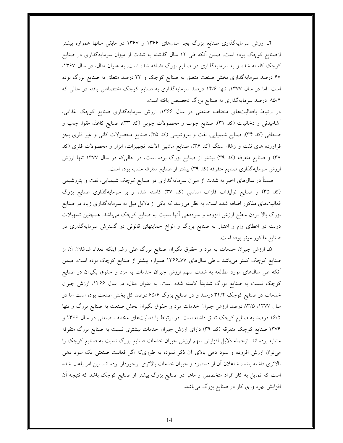۴ـ ارزش سرمایهگذاری صنایع بزرگ بجز سالهای ۱۳۶۶ و ۱۳۶۷ در مابقی سالها همواره بیشتر ازصنایع کوچک بوده است. ضمن آنکه طی ۱۲ سال گذشته به شدت از میزان سرمایهگذاری در صنایع کوچک کاسته شده و به سرمایهگذاری در صنایع بزرگ اضافه شده است. به عنوان مثال، در سال ۱۳۶۷، ۶۷ درصد سرمایهگذاری بخش صنعت متعلق به صنایع کوچک و ۳۳ درصد متعلق به صنایع بزرگ بوده است. اما در سال ۱۳۷۷، تنها ۱۴/۶ درصد سرمایهگذاری به صنایع کوچک اختصاص یافته در حالی که ۸۵/۴ درصد سرمایهگذاری به صنایع بزرگ تخصیص یافته است.

در ارتباط بافعالیتهای مختلف صنعتی در سال ۱۳۶۶، ارزش سرمایهگذاری صنایع کوچک غذایی، أشاميدني و دخانيات (كد ٣١)، صنايع چوب و محصولات چوبي (كد ٣٣)، صنايع كاغذ، مقوا، چاپ و صحافی (کد ۳۴)، صنایع شیمیایی، نفت و پتروشیمی (کد ۳۵)، صنایع محصولات کانی و غیر فلزی بجز فرآورده های نفت و زغال سنگ (کد ۳۶)، صنایع ماشین آلات، تجهیزات، ابزار و محصولات فلزی (کد ۳۸) و صنایع متفرقه (کد ۳۹) بیشتر از صنایع بزرگ بوده است، در حالیکه در سال ۱۳۷۷ تنها ارزش ارزش سرمایهگذاری صنایع متفرقه (کد ۳۹) بیشتر از صنایع متفرقه مشابه بوده است.

ضمناً در سال@ای اخیر به شدت از میزان سرمایهگذاری در صنایع کوچک شیمیایی، نفت و پتروشیمی (کد ۳۵) و صنایع تولیدات فلزات اساسی (کد ۳۷) کاسته شده و بر سرمایهگذاری صنایع بزرگ فعالیتهای مذکور اضافه شده است. به نظر میرسد که یکی از دلایل میل به سرمایهگذاری زیاد در صنایع بزرگ بالا بودن سطح ارزش افزوده و سوددهی آنها نسبت به صنایع کوچک میباشد. همچنین تسهیلات دولت در اعطای وام و اعتبار به صنایع بزرگ و انواع حمایتهای قانونی در گسترش سرمایهگذاری در صنايع مذكور موثر بوده است.

۵ـ ارزش جبران خدمات به مزد و حقوق بگیران صنایع بزرگ علی رغم اینکه تعداد شاغلان آن از صنایع کوچک کمتر میباشد ـ طی سالهای ۷۷ـ۱۳۶۶ همواره بیشتر از صنایع کوچک بوده است. ضمن آنکه طی سالهای مورد مطالعه به شدت سهم ارزش جبران خدمات به مزد و حقوق بگیران در صنایع کوچک نسبت به صنایع بزرگ شدیداً کاسته شده است. به عنوان مثال، در سال ۱۳۶۶، ارزش جبران خدمات در صنایع کوچک ۳۴/۴ درصد و در صنایع بزرگ ۶۵/۶ درصد کل بخش صنعت بوده است اما در سال ۱۳۷۷، ۲۳/۵ درصد ارزش جبران خدمات مزد و حقوق بگیران بخش صنعت به صنایع بزرگ و تنها ۱۶/۵ درصد به صنایع کوچک تعلق داشته است. در ارتباط با فعالیتهای مختلف صنعتی در سال ۱۳۶۶ و ۱۳۷۶ صنایع کوچک متفرقه (کد ۳۹) دارای ارزش جبران خدمات بیشتری نسبت به صنایع بزرگ متفرقه مشابه بوده اند. ازجمله دلایل افزایش سهم ارزش جبران خدمات صنایع بزرگ نسبت به صنایع کوچک را میتوان ارزش افزوده و سود دهی بالای آن ذکر نمود، به طوریکه اگر فعالیت صنعتی یک سود دهی بالاتری داشته باشد، شاغلان آن از دستمزد و جبران خدمات بالاتری برخوردار بوده اند. این امر باعث شده است که تمایل به کار افراد متخصص و ماهر در صنایع بزرگ بیشتر از صنایع کوچک باشد که نتیجه آن افزایش بهره وری کار در صنایع بزرگ میباشد.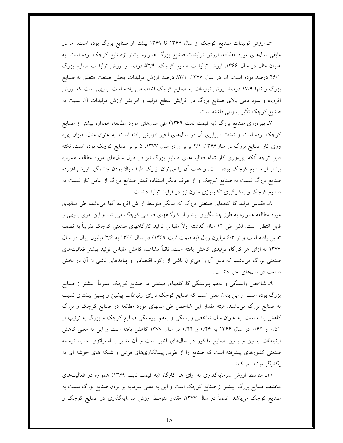۶ـ ارزش تولیدات صنایع کوچک از سال ۱۳۶۶ تا ۱۳۶۹ بیشتر از صنایع بزرگ بوده است. اما در مابقی سال@ای مورد مطالعه، ارزش تولیدات صنایع بزرگ همواره بیشتر ازصنایع کوچک بوده است. به عنوان مثال در سال ۱۳۶۶، ارزش تولیدات صنایع کوچک، ۵۳/۹ درصد و ارزش تولیدات صنایع بزرگ ۴۶/۱ درصد بوده است. اما در سال ۱۳۷۷، ۸۲/۱ درصد ارزش تولیدات بخش صنعت متعلق به صنایع بزرگ و تنها ۱۷/۹ درصد ارزش تولیدات به صنایع کوچک اختصاص یافته است. بدیهی است که ارزش افزوده و سود دهی بالای صنایع بزرگ در افزایش سطح تولید و افزایش ارزش تولیدات آن نسبت به صنایع کوچک تأثیر بسزایی داشته است.

۷ـ بهرهوري صنايع بزرگ (به قيمت ثابت ١٣۶٩) طي سالهاي مورد مطالعه، همواره بيشتر از صنايع کوچک بوده است و شدت نابرابری آن در سالهای اخیر افزایش یافته است. به عنوان مثال، میزان بهره وری کار صنایع بزرگ در سال ۱۳۶۶، ۲/۱ برابر و در سال ۱۳۷۷، ۵ برابر صنایع کوچک بوده است. نکته قابل توجه آنکه بهرهوری کار تمام فعالیتهای صنایع بزرگ نیز در طول سالهای مورد مطالعه همواره بیشتر از صنایع کوچک بوده است. و علت آن را میتوان از یک طرف بالا بودن چشمگیر ارزش افزوده صنایع بزرگ نسبت به صنایع کوچک و از طرف دیگر استفاده کمتر صنایع بزرگ از عامل کار نسبت به صنایع کوچک و بهکارگیری تکنولوژی مدرن نیز در فرایند تولید دانست.

۸ـ مقیاس تولید کارگاههای صنعتی بزرگ که بیانگر متوسط ارزش افزوده آنها میباشد، طی سالهای مورد مطالعه همواره به طرز چشمگیری بیشتر از کارگاههای صنعتی کوچک میباشد و این امری بدیهی و قابل انتظار است. لکن طی ۱۲ سال گذشته اولاً مقیاس تولید کارگاههای صنعتی کوچک تقریباً به نصف تقلیل یافته است و از ۶/۳ میلیون ریال (به قیمت ثابت ۱۳۶۹) در سال ۱۳۶۶ به ۳/۶ میلیون ریال در سال ۱۳۷۷ به ازای هر کارگاه تولیدی کاهش یافته است، ثانیاً مشاهده کاهش مقیاس تولید بیشتر فعالیتهای صنعتی بزرگ می باشیم که دلیل آن را میٍتوان ناشی از رکود اقتصادی و پیامدهای ناشی از آن در بخش صنعت در سالهای اخیر دانست.

۹ـ شاخص وابستگی و بههم پیوستگی کارگاههای صنعتی در صنایع کوچک عموماً بیشتر از صنایع بزرگ بوده است. و این بدان معنی است که صنایع کوچک دارای ارتباطات پیشین و پسین بیشتری نسبت به صنایع بزرگ میباشند. البته مقدار این شاخص طی سالهای مورد مطالعه در صنایع کوچک و بزرگ کاهش یافته است. به عنوان مثال شاخص وابستگی و بههم پیوستگی صنایع کوچک و بزرگ به ترتیب از ۰/۵۱ و ۰/۶۲ در سال ۱۳۶۶ به ۰/۴۶ و ۰/۴۴ در سال ۱۳۷۷ کاهش یافته است و این به معنی کاهش ارتباطات پیشین و پسین صنایع مذکور در سالهای اخیر است و آن مغایر با استراتژی جدید توسعه صنعتی کشورهای پیشرفته است که صنایع را از طریق پیمانکاریهای فرعی و شبکه های خوشه ای به یکدیگر مرتبط میکنند.

۱۰ـ متوسط ارزش سرمایهگذاری به ازای هر کارگاه (به قیمت ثابت ۱۳۶۹) همواره در فعالیتهای مختلف صنایع بزرگ، بیشتر از صنایع کوچک است و این به معنی سرمایه بر بودن صنایع بزرگ نسبت به صنایع کوچک میباشد. ضمناً در سال ۱۳۷۷، مقدار متوسط ارزش سرمایهگذاری در صنایع کوچک و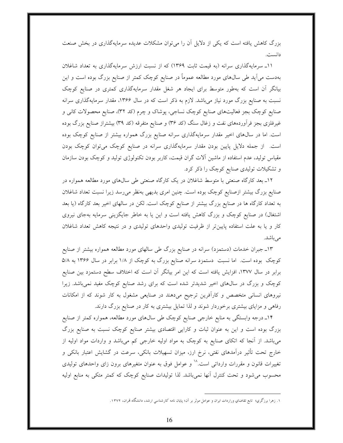بزرگ کاهش یافته است که یکی از دلایل آن را می توان مشکلات عدیده سرمایهگذاری در بخش صنعت دانست.

١١ـ سرمايهگذاري سرانه (به قيمت ثابت ١٣۶٩) كه از نسبت ارزش سرمايهگذاري به تعداد شاغلان بهدست می آید طی سال@ای مورد مطالعه عموماً در صنایع کوچک کمتر از صنایع بزرگ بوده است و این بیانگر آن است که بهطور متوسط برای ایجاد هر شغل مقدار سرمایهگذاری کمتری در صنایع کوچک نسبت به صنایع بزرگ مورد نیاز میباشد. لازم به ذکر است که در سال ۱۳۶۶، مقدار سرمایهگذاری سرانه صنایع کوچک بجز فعالیتهای صنایع کوچک نساجی، پوشاک و چرم (کد ۳۲)، صنایع محصولات کانی و غیرفلزی بجز فرآوردههای نفت و زغال سنگ (کد ۳۶) و صنایع متفرقه (کد ۳۹) بیشتراز صنایع بزرگ بوده است. اما در سال@ای اخیر مقدار سرمایهگذاری سرانه صنایع بزرگ همواره بیشتر از صنایع کوچک بوده است. از جمله دلایل پایین بودن مقدار سرمایهگذاری سرانه در صنایع کوچک میتوان کوچک بودن مقیاس تولید، عدم استفاده از ماشین آلات گران قیمت، کاربر بودن تکنولوژی تولید و کوچک بودن سازمان و تشکیلات تولیدی صنایع کوچک را ذکر کرد.

۱۲ـ بعد کارگاه صنعتی با متوسط شاغلان در یک کارگاه صنعتی طی سالهای مورد مطالعه همواره در صنایع بزرگ بیشتر ازصنایع کوچک بوده است. چنین امری بدیهی بهنظر میرسد زیرا نسبت تعداد شاغلان به تعداد کارگاه ها در صنایع بزرگ بیشتر از صنایع کوچک است. لکن در سالهای اخیر بعد کارگاه (یا بعد اشتغال) در صنایع کوچک و بزرگ کاهش یافته است و این یا به خاطر جایگزینی سرمایه بهجای نیروی کار و یا به علت استفاده پایین تر از ظرفیت تولیدی واحدهای تولیدی و در نتیجه کاهش تعداد شاغلان مے باشد.

۱۳ـ جبران خدمات (دستمزد) سرانه در صنایع بزرگ طی سالهای مورد مطالعه همواره بیشتر از صنایع کوچک بوده است. اما نسبت دستمزد سرانه صنایع بزرگ به کوچک از ۱/۸ برابر در سال ۱۳۶۶ به ۵/۸ برابر در سال ۱۳۷۷، افزایش یافته است که این امر بیانگر آن است که اختلاف سطح دستمزد بین صنایع کوچک و بزرگ در سال&ای اخیر شدیدتر شده است که برای رشد صنایع کوچک مفید نمیباشد. زیرا نیروهای انسانی متخصص و کارآفرین ترجیح میدهند در صنایعی مشغول به کار شوند که از امکانات رفاهی و مزایای بیشتری برخوردار شوند و لذا تمایل بیشتری به کار در صنایع بزرگ دارند.

۱۴ـ درجه وابستگی به منابع خارجی صنایع کوچک طی سال&ای مورد مطالعه، همواره کمتر از صنایع بزرگ بوده است و این به عنوان ثبات و کارایی اقتصادی بیشتر صنایع کوچک نسبت به صنایع بزرگ میباشد. از آنجا که اتکای صنایع به کوچک به مواد اولیه خارجی کم میباشد و واردات مواد اولیه از خارج تحت تأثیر درآمدهای نفتی، نرخ ارز، میزان تسهیلات بانکی، سرعت در گشایش اعتبار بانکی و تغییرات قانون و مقررات وارداتی است.<sup>۱۸</sup> و عوامل فوق به عنوان متغیرهای برون زای واحدهای تولیدی محسوب می شود و تحت کنترل آنها نمیباشد. لذا تولیدات صنایع کوچک که کمتر متکی به منابع اولیه

۱. زهرا برزگري؛ تابع تقاضاي وراردات ايران و عوامل موثر بر آن؛ پايان نامه كارشناسي ارشد، دانشگاه قمران، ۱۳۷۲.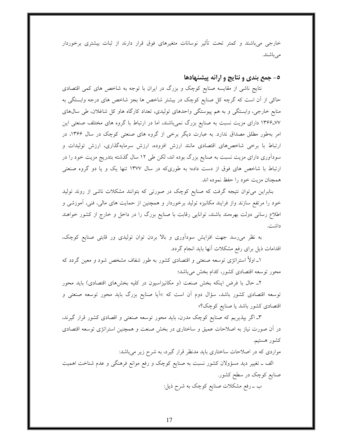خارجی می باشند و کمتر تحت تأثیر نوسانات متغیرهای فوق قرار دارند از ثبات بیشتری برخوردار مى باشند.

٥- جمع بندي و نتايج و ارائه پيشنهادها

نتایج ناشی از مقایسه صنایع کوچک و بزرگ در ایران با توجه به شاخص های کمی اقتصادی حاکی از آن است که گرچه کل صنایع کوچک در بیشتر شاخص ها بجز شاخص های درجه وابستگی به منابع خارجی، وابستگی و به هم پیوستگی واحدهای تولیدی، تعداد کارگاه هاو کل شاغلان، طی سالهای ۷۷-۱۳۶۶ دارای مزیت نسبت به صنایع بزرگ نمی باشند، اما در ارتباط با گروه های مختلف صنعتی این امر بهطور مطلق مصداق ندارد. به عبارت دیگر برخی از گروه های صنعتی کوچک در سال ۱۳۶۶، در ارتباط با برخی شاخصهای اقتصادی مانند ارزش افزوده، ارزش سرمایهگذاری، ارزش تولیدات و سودآوری دارای مزیت نسبت به صنایع بزرگ بوده اند، لکن طی ۱۲ سال گذشته بتدریج مزیت خود را در ارتباط با شاخص های فوق از دست داده؛ به طوریکه در سال ۱۳۷۷ تنها یک و یا دو گروه صنعتی همچنان مزیت خود را حفظ نموده اند.

بنابراین میتوان نتیجه گرفت که صنایع کوچک در صورتی که بتوانند مشکلات ناشی از روند تولید خود را مرتفع سازند واز فرایند مکانیزه تولید برخوردار و همچنین از حمایت های مالی، فنی، آموزشی و اطلاع رسانی دولت بهرهمند باشند، توانایی رقابت با صنایع بزرگ را در داخل و خارج از کشور خواهند داشت.

به نظر می رسد جهت افزایش سودآوری و بالا بردن توان تولیدی ور قابتی صنایع کوچک، اقدامات ذیل برای رفع مشکلات آنها باید انجام گردد.

۱ـ اولاً استراتژی توسعه صنعتی و اقتصادی کشور به طور شفاف مشخص شود و معین گردد که محور توسعه اقتصادى كشور، كدام بخش مىباشد؛

۲ـ حال با فرض اینکه بخش صنعت (و مکانیزاسیون در کلیه بخشهای اقتصادی) باید محور توسعه اقتصادی کشور باشد، سؤال دوم آن است که :«اَیا صنایع بزرگ باید محور توسعه صنعتی و اقتصادي كشور باشد يا صنايع كوچك؟»

۳ـ اگر بیذیریم که صنایع کوچک مدرن، باید محور توسعه صنعتی و اقصادی کشور قرار گیرند، در آن صورت نیاز به اصلاحات عمیق و ساختاری در بخش صنعت و همچنین استراتژی توسعه اقتصادی كشور هستيم.

مواردی که در اصلاحات ساختاری باید مدنظر قرار گیرد، به شرح زیر می باشد:

الف ــ تغییر دید مسؤولان کشور نسبت به صنایع کوچک و رفع موانع فرهنگی و عدم شناخت اهمیت صنایع کوچک در سطح کشور. ب ــ رفع مشکلات صنایع کوچک به شرح ذیل: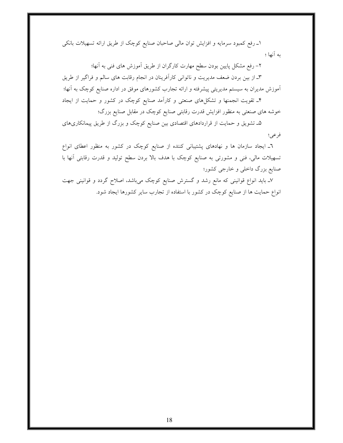۱ـ رفع کمبود سرمایه و افزایش توان مالی صاحبان صنایع کوچک از طریق ارائه تسهیلات بانکی به آنها ؛

۲– رفع مشکل پایین بودن سطح مهارت کارگران از طریق آموزش های فنی به آنها؛ ٣ـ از بين بردن ضعف مديريت و ناتواني كارآفرينان در انجام رقابت هاي سالم و فراگير از طريق آموزش مدیران به سیستم مدیریتی پیشرفته و ارائه تجارب کشورهای موفق در اداره صنایع کوچک به آنها؛

۴ـ تقویت انجمنها و تشکلهای صنعتی و کارآمد صنایع کوچک در کشور و حمایت از ایجاد خوشه های صنعتی به منظور افزایش قدرت رقابتی صنایع کوچک در مقابل صنایع بزرگ؛

۵ـ تشویق و حمایت از قراردادهای اقتصادی بین صنایع کوچک و بزرگ از طریق پیمانکاریهای فرعى؛

٦ـ ايجاد سازمان ها و نهادهاى پشتيبانى كننده از صنايع كوچک در كشور به منظور اعطاى انواع تسهیلات مالی، فنی و مشورتی به صنایع کوچک با هدف بالا بردن سطح تولید و قدرت رقابتی آنها با صنایع بزرگ داخلی و خارجی کشور؛

۷ـ باید انواع قوانینی که مانع رشد و گسترش صنایع کوچک میباشد، اصلاح گردد و قوانینی جهت انواع حمایت ها از صنایع کوچک در کشور با استفاده از تجارب سایر کشورها ایجاد شود.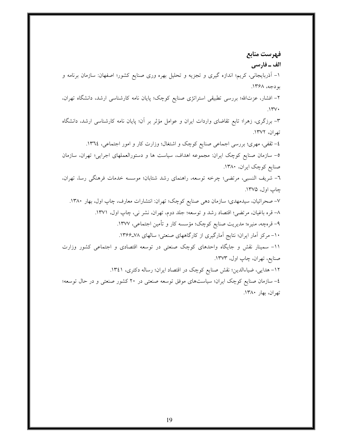فهرست منابع الف ـ فارسي ۱– آذربایجانی، کریم؛ اندازه گیری و تجزیه و تحلیل بهره وری صنایع کشور؛ اصفهان: سازمان برنامه و بو دجه، ۱۳۶۸. ۲– افشار، عزتالله؛ بررسی تطبیقی استراتژی صنایع کوچک؛ پایان نامه کارشناسی ارشد، دانشگاه تهران،  $N''V$ ۳- برزگری، زهرا؛ تابع تقاضای واردات ایران و عوامل مؤثر بر آن؛ پایان نامه کارشناسی ارشد، دانشگاه تهران، ١٣٧٢. ٤- ثقفي، مهري؛ بررسي اجماعي صنايع كوچک و اشتغال؛ وزارت كار و امور اجتماعي، ١٣٦٤. ٥- سازمان صنایع کوچک ایران: مجموعه اهداف، سیاست ها و دستورالعملهای اجرایی؛ تهران، سازمان صنایع کوچک ایران، ۱۳۸۰. ٦- شريف النسبي، مرتضى؛ چرخه توسعه، راهنماي رشد شتابان؛ موسسه خدمات فرهنگي رسا، تهران، چاپ اول، ۱۳۷۵. ۷– صحرائیان، سیدمهدی؛ سازمان دهی صنایع کوچک؛ تهران: انتشارات معارف، چاپ اول، بهار ۱۳۸۰. ٨– قره باغيان، مرتضى؛ اقتصاد رشد و توسعه؛ جلد دوم، تهران، نشر ني، چاپ اول، ١٣٧١. ۹– قرەچە، منيره؛ مديريت صنايع كوچك؛ مؤسسه كار و تأمين اجتماعي، ١٣٧٧. ۱۰- مرکز آمار ایران؛ نتایج آمارگیری از کارگاههای صنعتی؛ سالهای ۷۸-۱۳۶۶. 11- سمینار نقش و جایگاه واحدهای کوچک صنعتی در توسعه اقتصادی و اجتماعی کشور وزارت صنايع، تهران، چاپ اول، ۱۳۷۳. ١٢- هدايي، ضياءالدين؛ نقش صنايع كوچک در اقتصاد ايران؛ رساله دكترى، ١٣٤١. ٤- سازمان صنایع کوچک ایران؛ سیاستهای موفق توسعه صنعتی در ٢٠ کشور صنعتی و در حال توسعه؛ تهران، بهار ۱۳۸۰.